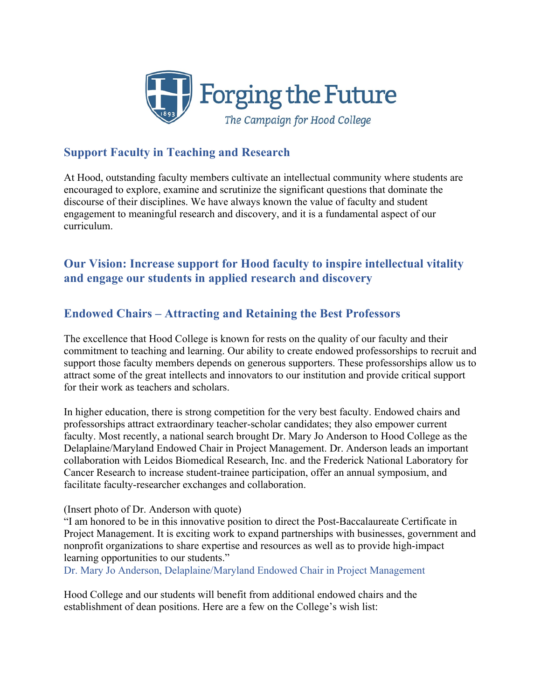

# **Support Faculty in Teaching and Research**

At Hood, outstanding faculty members cultivate an intellectual community where students are encouraged to explore, examine and scrutinize the significant questions that dominate the discourse of their disciplines. We have always known the value of faculty and student engagement to meaningful research and discovery, and it is a fundamental aspect of our curriculum.

# **Our Vision: Increase support for Hood faculty to inspire intellectual vitality and engage our students in applied research and discovery**

## **Endowed Chairs – Attracting and Retaining the Best Professors**

The excellence that Hood College is known for rests on the quality of our faculty and their commitment to teaching and learning. Our ability to create endowed professorships to recruit and support those faculty members depends on generous supporters. These professorships allow us to attract some of the great intellects and innovators to our institution and provide critical support for their work as teachers and scholars.

In higher education, there is strong competition for the very best faculty. Endowed chairs and professorships attract extraordinary teacher-scholar candidates; they also empower current faculty. Most recently, a national search brought Dr. Mary Jo Anderson to Hood College as the Delaplaine/Maryland Endowed Chair in Project Management. Dr. Anderson leads an important collaboration with Leidos Biomedical Research, Inc. and the Frederick National Laboratory for Cancer Research to increase student-trainee participation, offer an annual symposium, and facilitate faculty-researcher exchanges and collaboration.

#### (Insert photo of Dr. Anderson with quote)

"I am honored to be in this innovative position to direct the Post-Baccalaureate Certificate in Project Management. It is exciting work to expand partnerships with businesses, government and nonprofit organizations to share expertise and resources as well as to provide high-impact learning opportunities to our students."

Dr. Mary Jo Anderson, Delaplaine/Maryland Endowed Chair in Project Management

Hood College and our students will benefit from additional endowed chairs and the establishment of dean positions. Here are a few on the College's wish list: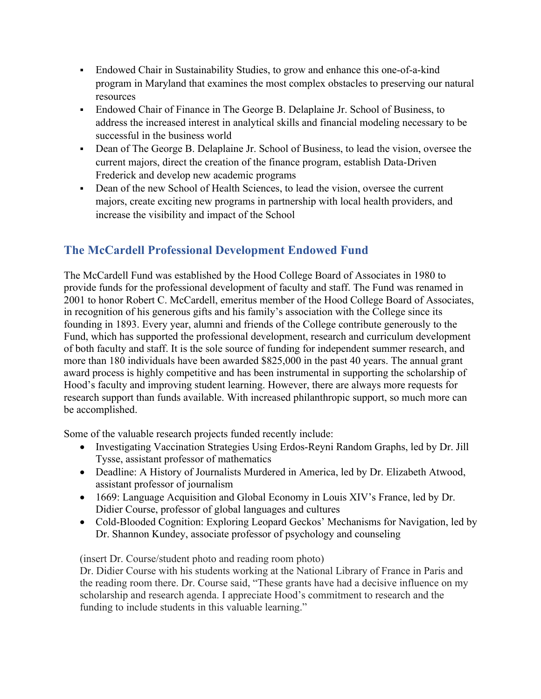- Endowed Chair in Sustainability Studies, to grow and enhance this one-of-a-kind program in Maryland that examines the most complex obstacles to preserving our natural resources
- Endowed Chair of Finance in The George B. Delaplaine Jr. School of Business, to address the increased interest in analytical skills and financial modeling necessary to be successful in the business world
- Dean of The George B. Delaplaine Jr. School of Business, to lead the vision, oversee the current majors, direct the creation of the finance program, establish Data-Driven Frederick and develop new academic programs
- Dean of the new School of Health Sciences, to lead the vision, oversee the current majors, create exciting new programs in partnership with local health providers, and increase the visibility and impact of the School

# **The McCardell Professional Development Endowed Fund**

The McCardell Fund was established by the Hood College Board of Associates in 1980 to provide funds for the professional development of faculty and staff. The Fund was renamed in 2001 to honor Robert C. McCardell, emeritus member of the Hood College Board of Associates, in recognition of his generous gifts and his family's association with the College since its founding in 1893. Every year, alumni and friends of the College contribute generously to the Fund, which has supported the professional development, research and curriculum development of both faculty and staff. It is the sole source of funding for independent summer research, and more than 180 individuals have been awarded \$825,000 in the past 40 years. The annual grant award process is highly competitive and has been instrumental in supporting the scholarship of Hood's faculty and improving student learning. However, there are always more requests for research support than funds available. With increased philanthropic support, so much more can be accomplished.

Some of the valuable research projects funded recently include:

- Investigating Vaccination Strategies Using Erdos-Reyni Random Graphs, led by Dr. Jill Tysse, assistant professor of mathematics
- Deadline: A History of Journalists Murdered in America, led by Dr. Elizabeth Atwood, assistant professor of journalism
- 1669: Language Acquisition and Global Economy in Louis XIV's France, led by Dr. Didier Course, professor of global languages and cultures
- Cold-Blooded Cognition: Exploring Leopard Geckos' Mechanisms for Navigation, led by Dr. Shannon Kundey, associate professor of psychology and counseling

(insert Dr. Course/student photo and reading room photo)

Dr. Didier Course with his students working at the National Library of France in Paris and the reading room there. Dr. Course said, "These grants have had a decisive influence on my scholarship and research agenda. I appreciate Hood's commitment to research and the funding to include students in this valuable learning."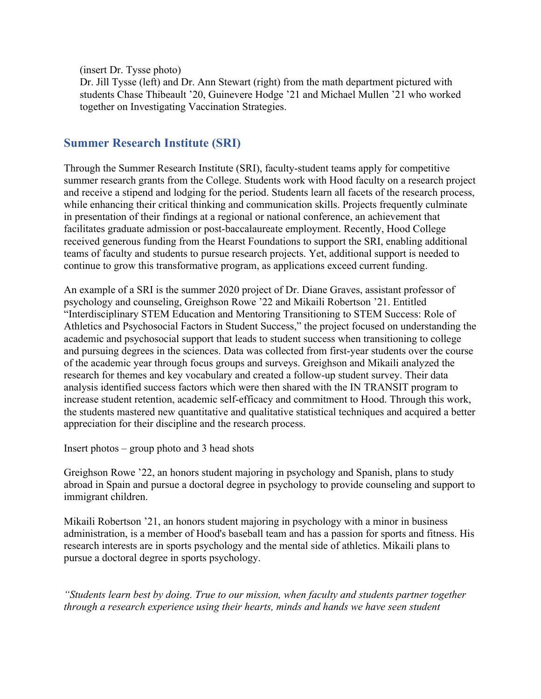(insert Dr. Tysse photo)

Dr. Jill Tysse (left) and Dr. Ann Stewart (right) from the math department pictured with students Chase Thibeault '20, Guinevere Hodge '21 and Michael Mullen '21 who worked together on Investigating Vaccination Strategies.

### **Summer Research Institute (SRI)**

Through the Summer Research Institute (SRI), faculty-student teams apply for competitive summer research grants from the College. Students work with Hood faculty on a research project and receive a stipend and lodging for the period. Students learn all facets of the research process, while enhancing their critical thinking and communication skills. Projects frequently culminate in presentation of their findings at a regional or national conference, an achievement that facilitates graduate admission or post-baccalaureate employment. Recently, Hood College received generous funding from the Hearst Foundations to support the SRI, enabling additional teams of faculty and students to pursue research projects. Yet, additional support is needed to continue to grow this transformative program, as applications exceed current funding.

An example of a SRI is the summer 2020 project of Dr. Diane Graves, assistant professor of psychology and counseling, Greighson Rowe '22 and Mikaili Robertson '21. Entitled "Interdisciplinary STEM Education and Mentoring Transitioning to STEM Success: Role of Athletics and Psychosocial Factors in Student Success," the project focused on understanding the academic and psychosocial support that leads to student success when transitioning to college and pursuing degrees in the sciences. Data was collected from first-year students over the course of the academic year through focus groups and surveys. Greighson and Mikaili analyzed the research for themes and key vocabulary and created a follow-up student survey. Their data analysis identified success factors which were then shared with the IN TRANSIT program to increase student retention, academic self-efficacy and commitment to Hood. Through this work, the students mastered new quantitative and qualitative statistical techniques and acquired a better appreciation for their discipline and the research process.

Insert photos – group photo and 3 head shots

Greighson Rowe '22, an honors student majoring in psychology and Spanish, plans to study abroad in Spain and pursue a doctoral degree in psychology to provide counseling and support to immigrant children.

Mikaili Robertson '21, an honors student majoring in psychology with a minor in business administration, is a member of Hood's baseball team and has a passion for sports and fitness. His research interests are in sports psychology and the mental side of athletics. Mikaili plans to pursue a doctoral degree in sports psychology.

*"Students learn best by doing. True to our mission, when faculty and students partner together through a research experience using their hearts, minds and hands we have seen student*